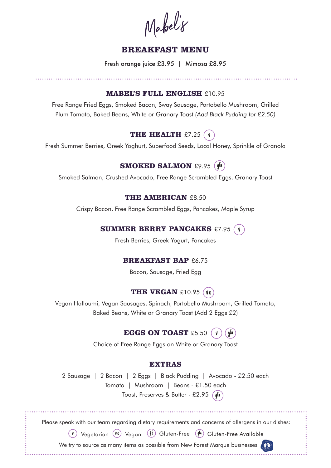Mabel'8

# **BREAKFAST MENU**

Fresh orange juice £3.95 | Mimosa £8.95

### **MABEL'S FULL ENGLISH £10.95**

Free Range Fried Eggs, Smoked Bacon, Sway Sausage, Portobello Mushroom, Grilled Plum Tomato, Baked Beans, White or Granary Toast (Add Black Pudding for £2.50)

# **THE HEALTH** £7.25  $(\nu)$

Fresh Summer Berries, Greek Yoghurt, Superfood Seeds, Local Honey, Sprinkle of Granola

# **SMOKED SALMON** £9.95 (gfa)

Smoked Salmon, Crushed Avocado, Free Range Scrambled Eggs, Granary Toast

### **THE AMERICAN £8.50**

Crispy Bacon, Free Range Scrambled Eggs, Pancakes, Maple Syrup

## **SUMMER BERRY PANCAKES £7.95 (v)**

Fresh Berries, Greek Yogurt, Pancakes

## **BREAKFAST BAP £6.75**

Bacon, Sausage, Fried Egg

# **THE VEGAN** £10.95 (ve)

Vegan Halloumi, Vegan Sausages, Spinach, Portobello Mushroom, Grilled Tomato, Baked Beans, White or Granary Toast (Add 2 Eggs £2)

# **EGGS ON TOAST** £5.50  $(\nu)$   $(q^{f_a})$

Choice of Free Range Eggs on White or Granary Toast

### **EXTRAS**

2 Sausage | 2 Bacon | 2 Eggs | Black Pudding | Avocado - £2.50 each Tomato | Mushroom | Beans - £1.50 each Toast, Preserves & Butter - £2.95  $(qf_a)$ 

Please speak with our team regarding dietary requirements and concerns of allergens in our dishes:

 $(\nu)$  Vegetarian  $(\nu e)$  Vegan  $(\ell f)$  Gluten-Free  $(\ell f)^{[q]}$  Gluten-Free Available

We try to source as many items as possible from New Forest Marque businesses